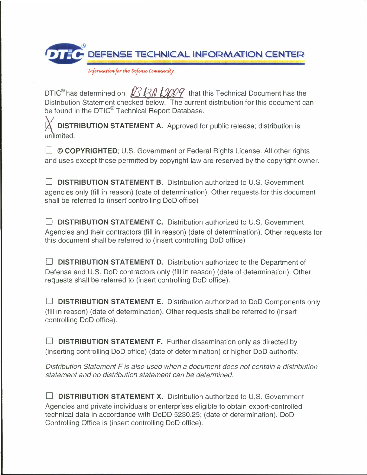

*[nfontutfio\*for the- t>thtut ComMumiiv*

DTIC<sup>®</sup> has determined on  $R$   $\frac{13R}{130}$   $\frac{1300q}{130}$  that this Technical Document has the Distribution Statement checked below. The current distribution for this document can be found in the DTIC<sup>®</sup> Technical Report Database.

**DISTRIBUTION STATEMENT A.** Approved for public release; distribution is unlimited.

□ © COPYRIGHTED; U.S. Government or Federal Rights License. All other rights and uses except those permitted by copyright law are reserved by the copyright owner.

• **DISTRIBUTION STATEMENT B.** Distribution authorized to U.S. Government agencies only (fill in reason) (date of determination). Other requests for this document shall be referred to (insert controlling DoD office)

• **DISTRIBUTION STATEMENT C.** Distribution authorized to U.S. Government Agencies and their contractors (fill in reason) (date of determination). Other requests for this document shall be referred to (insert controlling DoD office)

**DISTRIBUTION STATEMENT D.** Distribution authorized to the Department of Defense and U.S. DoD contractors only (fill in reason) (date of determination). Other requests shall be referred to (insert controlling DoD office).

• **DISTRIBUTION STATEMENT E.** Distribution authorized to DoD Components only (fill in reason) (date of determination). Other requests shall be referred to (insert controlling DoD office).

**DISTRIBUTION STATEMENT F.** Further dissemination only as directed by (inserting controlling DoD office) (date of determination) or higher DoD authority.

Distribution Statement F is also used when a document does not contain a distribution statement and no distribution statement can be determined.

• **DISTRIBUTION STATEMENT X.** Distribution authorized to U.S. Government Agencies and private individuals or enterprises eligible to obtain export-controlled technical data in accordance with DoDD 5230.25; (date of determination). DoD Controlling Office is (insert controlling DoD office).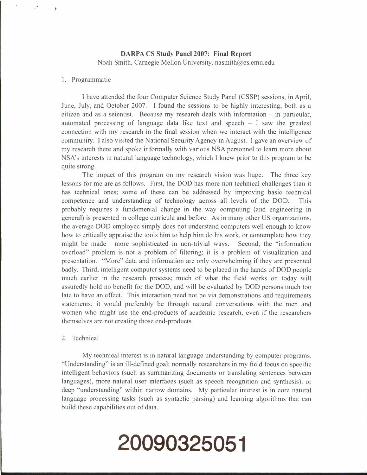## **DARPA CS Study Panel 2007: Final Report** Noah Smith, Carnegie Mellon University, nasmith@cs.cmu.edu

### 1. Programmatic

 $\bullet$ 

<sup>I</sup> have attended the four Computer Science Study Panel (CSSP) sessions, in April, June, July, and October 2007. <sup>I</sup> found the sessions to be highly interesting, both as a eitizen and as a scientist. Because my research deals with information - in particular, automated processing of language data like text and speech  $-1$  saw the greatest connection with my research in the final session when we interact with the intelligence community. <sup>I</sup> also visited the National Security Agency in August. <sup>I</sup> gave an overview of my research there and spoke informally with various NSA personnel to learn more about NSA's interests in natural language technology, which <sup>I</sup> knew prior to this program to be quite strong.

The impact of this program on my research vision was huge. The three key lessons for me are as follows. First, the DOD has more non-technical challenges than it has technical ones; some of these can be addressed by improving basic technical competence and understanding of technology across all levels of the DOD. This probably requires a fundamental change in the way computing (and engineering in general) is presented in college curricula and before. As in many other US organizations, the average DOD employee simply does not understand computers well enough to know how to critically appraise the tools him to help him do his work, or contemplate how they might be made more sophisticated in non-trivial ways. Second, the "information overload" problem is not a problem of filtering; it is a problem of visualization and presentation. "More" data and information are only overwhelming if they are presented badly. Third, intelligent computer systems need to be placed in the hands of DOD people much earlier in the research process; much of what the field works on today will assuredly hold no benefit for the DOD, and will be evaluated by DOD persons much too late to have an effect. This interaction need not be via demonstrations and requirements statements; it would preferably be through natural conversations with the men and women who might use the end-products of academic research, even if the researchers themselves arc not creating those end-products.

### 2. Technical

My technical interest is in natural language understanding by computer programs. "Understanding" is an ill-defined goal; normally researchers in my field focus on specific intelligent behaviors (such as summarizing documents or translating sentences between languages), more natural user interfaces (such as speech recognition and synthesis), or deep "understanding" within narrow domains. My particular interest is in core natural language processing tasks (such as syntactic parsing) and learning algorithms that can build these capabilities out of data.

# **20090325051**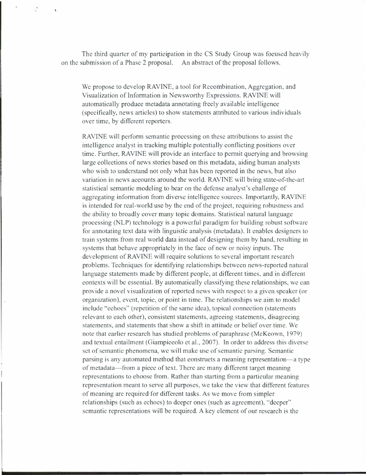The third quarter of my participation in the CS Study Group was focused heavily on the submission of a Phase 2 proposal. An abstract of the proposal follows.

We propose to develop RAVINE, a tool for Recombination, Aggregation, and Visualization of Information in Newsworthy Expressions. RAVINE will automatically produce metadata annotating freely available intelligence (specifically, news articles) to show statements attributed to various individuals over time, by different reporters.

RAVINE will perform semantic processing on these attributions to assist the intelligence analyst in tracking multiple potentially conflicting positions over time. Further, RAVINE will provide an interface to permit querying and browsing large collections of news stories based on this metadata, aiding human analysts who wish to understand not only what has been reported in the news, but also variation in news accounts around the world. RAVINE will bring state-of-the-art statistical semantic modeling to bear on the defense analyst's challenge of aggregating information from diverse intelligence sources. Importantly, RAVINE is intended for real-world use by the end of the project, requiring robustness and the ability to broadly cover many topic domains. Statistical natural language processing (NLP) technology is a powerful paradigm for building robust software for annotating text data with linguistic analysis (metadata). It enables designers to train systems from real world data instead of designing them by hand, resulting in systems that behave appropriately in the face of new or noisy inputs. The development of RAVINE will require solutions to several important research problems. Techniques for identifying relationships between news-reported natural language statements made by different people, at different times, and in different contexts will be essential. By automatically classifying these relationships, we can provide a novel visualization of reported news with respect to a given speaker (or organization), event, topic, or point in time. The relationships we aim to model include "echoes" (repetition of the same idea), topical connection (statements relevant to each other), consistent statements, agreeing statements, disagreeing statements, and statements that show a shift in attitude or belief over time. We note that earlier research has studied problems of paraphrase (McKeown, 1979) and textual entailment (Giampiccolo et al., 2007). In order to address this diverse set of semantic phenomena, we will make use of semantic parsing. Semantic parsing is any automated method that constructs a meaning representation—a type of metadata—from a piece of text. There are many different target meaning representations to choose from. Rather than starting from a particular meaning representation meant to serve all purposes, we take the view that different features of meaning are required for different tasks. As we move from simpler relationships (such as echoes) to deeper ones (such as agreement), "deeper" semantic representations will be required. A key element of our research is the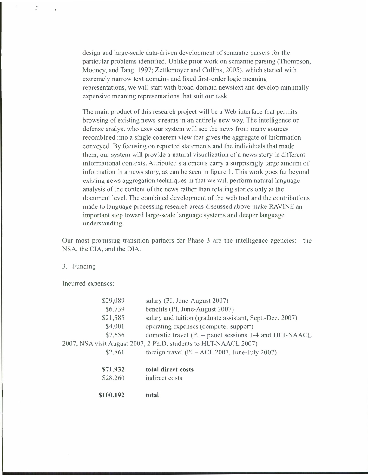design and large-scale data-driven development of semantic parsers for the particular problems identified. Unlike prior work on semantic parsing (Thompson, Mooney, and Tang, 1997; Zettlemoyer and Collins, 2005), which started with extremely narrow text domains and fixed first-order logic meaning representations, we will start with broad-domain newstext and develop minimally expensive meaning representations that suit our task.

The main product of this research project will be a Web interface that permits browsing of existing news streams in an entirely new way. The intelligence or defense analyst who uses our system will see the news from many sources recombined into a single coherent view that gives the aggregate of information conveyed. By focusing on reported statements and the individuals that made them, our system will provide a natural visualization of a news story in different informational contexts. Attributed statements carry a surprisingly large amount of information in a news story, as can be seen in figure 1. This work goes far beyond existing news aggregation techniques in that we will perform natural language analysis of the eontent of the news rather than relating stories only at the document level. The combined development of the web tool and the contributions made to language processing research areas discussed above make RAVINE an important step toward large-scale language systems and deeper language understanding.

Our most promising transition partners for Phase 3 are the intelligence agencies: the NSA, the CIA, and the DIA.

#### 3. Funding

÷,

Incurred expenses:

| \$100,192 | total                                                            |
|-----------|------------------------------------------------------------------|
| \$28,260  | indirect costs                                                   |
| \$71,932  | total direct costs                                               |
| \$2,861   | foreign travel ( $PI - ACL$ 2007, June-July 2007)                |
|           | 2007, NSA visit August 2007, 2 Ph.D. students to HLT-NAACL 2007) |
| \$7,656   | domestic travel (PI – panel sessions 1-4 and HLT-NAACL           |
| \$4,001   | operating expenses (computer support)                            |
| \$21,585  | salary and tuition (graduate assistant, Sept.-Dee. 2007)         |
| \$6,739   | benefits (PI, June-August 2007)                                  |
| \$29,089  | salary (PI, June-August 2007)                                    |